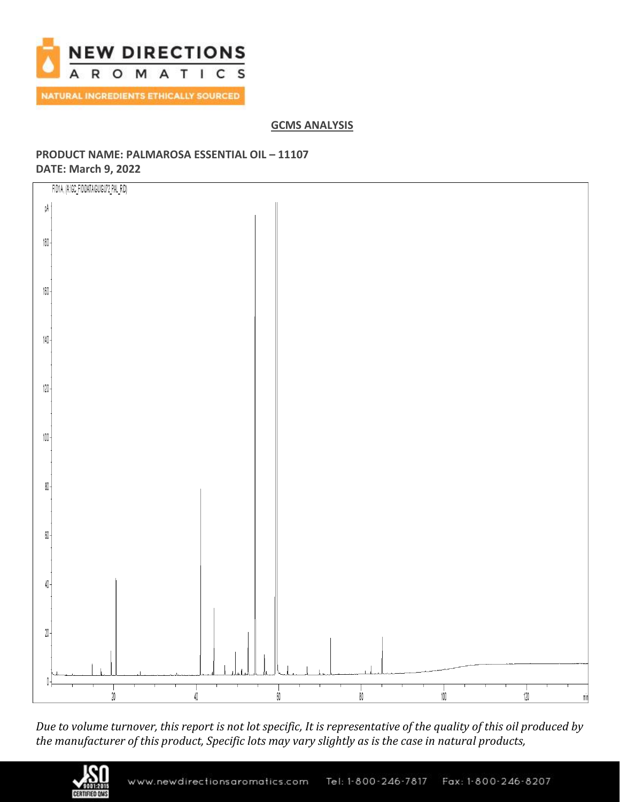

# **GCMS ANALYSIS**

# **PRODUCT NAME: PALMAROSA ESSENTIAL OIL – 11107 DATE: March 9, 2022**



*Due to volume turnover, this report is not lot specific, It is representative of the quality of this oil produced by the manufacturer of this product, Specific lots may vary slightly as is the case in natural products,*

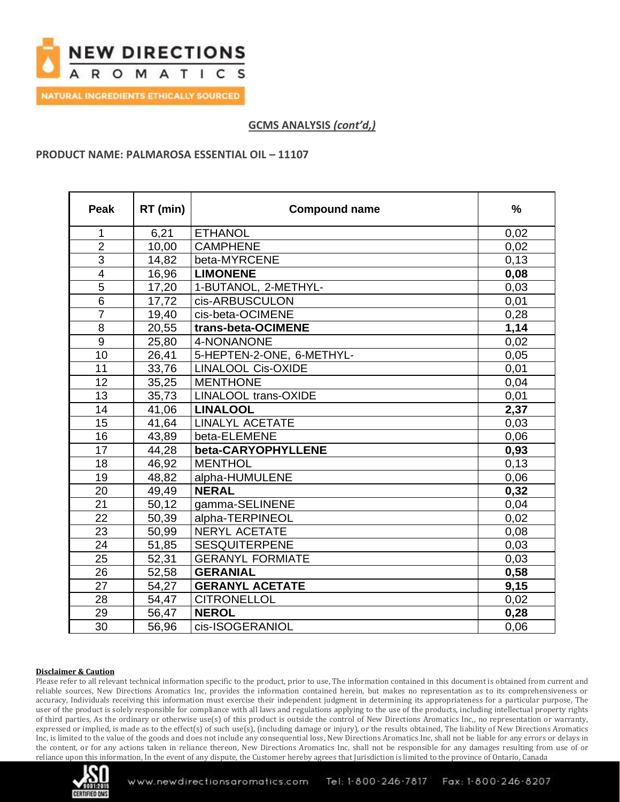

**NATURAL INGREDIENTS ETHICALLY SOURCED** 

# **GCMS ANALYSIS** *(cont'd,)*

### **PRODUCT NAME: PALMAROSA ESSENTIAL OIL – 11107**

| <b>Peak</b>             | RT (min) | <b>Compound name</b>        | $\frac{0}{0}$ |
|-------------------------|----------|-----------------------------|---------------|
| 1                       | 6,21     | <b>ETHANOL</b>              | 0,02          |
| $\overline{2}$          | 10,00    | <b>CAMPHENE</b>             | 0,02          |
| $\overline{3}$          | 14,82    | beta-MYRCENE                | 0,13          |
| $\overline{\mathbf{4}}$ | 16,96    | <b>LIMONENE</b>             | 0,08          |
| $\overline{5}$          | 17,20    | 1-BUTANOL, 2-METHYL-        | 0,03          |
| 6                       | 17,72    | cis-ARBUSCULON              | 0,01          |
| $\overline{7}$          | 19,40    | cis-beta-OCIMENE            | 0,28          |
| 8                       | 20,55    | trans-beta-OCIMENE          | 1,14          |
| 9                       | 25,80    | 4-NONANONE                  | 0,02          |
| 10                      | 26,41    | 5-HEPTEN-2-ONE, 6-METHYL-   | 0,05          |
| 11                      | 33,76    | <b>LINALOOL Cis-OXIDE</b>   | 0,01          |
| 12                      | 35,25    | <b>MENTHONE</b>             | 0,04          |
| 13                      | 35,73    | <b>LINALOOL trans-OXIDE</b> | 0,01          |
| 14                      | 41,06    | <b>LINALOOL</b>             | 2,37          |
| 15                      | 41,64    | <b>LINALYL ACETATE</b>      | 0,03          |
| 16                      | 43,89    | beta-ELEMENE                | 0,06          |
| 17                      | 44,28    | beta-CARYOPHYLLENE          | 0,93          |
| 18                      | 46,92    | <b>MENTHOL</b>              | 0,13          |
| 19                      | 48,82    | alpha-HUMULENE              | 0,06          |
| 20                      | 49,49    | <b>NERAL</b>                | 0,32          |
| 21                      | 50,12    | gamma-SELINENE              | 0,04          |
| 22                      | 50,39    | alpha-TERPINEOL             | 0,02          |
| 23                      | 50,99    | NERYL ACETATE               | 0,08          |
| 24                      | 51,85    | <b>SESQUITERPENE</b>        | 0,03          |
| 25                      | 52,31    | <b>GERANYL FORMIATE</b>     | 0,03          |
| $\overline{26}$         | 52,58    | <b>GERANIAL</b>             | 0,58          |
| 27                      | 54,27    | <b>GERANYL ACETATE</b>      | 9,15          |
| 28                      | 54,47    | <b>CITRONELLOL</b>          | 0,02          |
| 29                      | 56,47    | <b>NEROL</b>                | 0,28          |
| 30                      | 56,96    | cis-ISOGERANIOL             | 0,06          |

### **Disclaimer & Caution**

Please refer to all relevant technical information specific to the product, prior to use, The information contained in this document is obtained from current and reliable sources, New Directions Aromatics Inc, provides the information contained herein, but makes no representation as to its comprehensiveness or accuracy, Individuals receiving this information must exercise their independent judgment in determining its appropriateness for a particular purpose, The user of the product is solely responsible for compliance with all laws and regulations applying to the use of the products, including intellectual property rights of third parties, As the ordinary or otherwise use(s) of this product is outside the control of New Directions Aromatics Inc,, no representation or warranty, expressed or implied, is made as to the effect(s) of such use(s), (including damage or injury), or the results obtained, The liability of New Directions Aromatics Inc, is limited to the value of the goods and does not include any consequential loss, New Directions Aromatics Inc, shall not be liable for any errors or delays in the content, or for any actions taken in reliance thereon, New Directions Aromatics Inc, shall not be responsible for any damages resulting from use of or reliance upon this information, In the event of any dispute, the Customer hereby agrees that Jurisdiction is limited to the province of Ontario, Canada